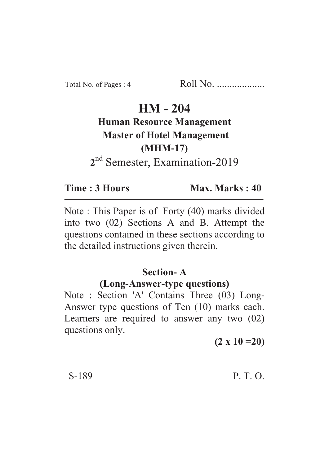# $HM - 204$

#### **Human Resource Management Master of Hotel Management (MHM-17)** (C)<br>MGC Trightania

## <sup>nd</sup> Semester, Examination-2019

#### Time: 3 Hours **Time : 3 Hours Max. Marks : 40**

Max. Marks: 40

Note : This Paper is of Forty (40) marks divided into two (02) Sections A and B. Attempt the questions contained in these sections according to the detailed instructions given therein.

#### **Section-A**

#### **(Long-Answer-type questions)**

Note : Section 'A' Contains Three (03) Long-Answer type questions of Ten (10) marks each. Learners are required to answer any two (02) questions only.

**(2 x 10 =20)**

### S-189 P. T. O.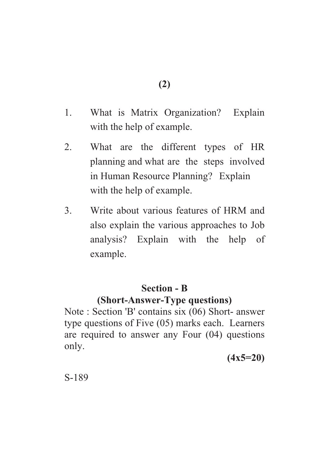- 1. What is Matrix Organization? Explain with the help of example.
- 2. What are the different types of HR planning and what are the steps involved in Human Resource Planning? Explain with the help of example.
- 3. Write about various features of HRM and also explain the various approaches to Job analysis? Explain with the help of example.

#### **Section - R**

### **(Short-Answer-Type questions)**

Note : Section 'B' contains six (06) Short- answer type questions of Five (05) marks each. Learners are required to answer any Four (04) questions only.

**(4x5=20)**

S-189